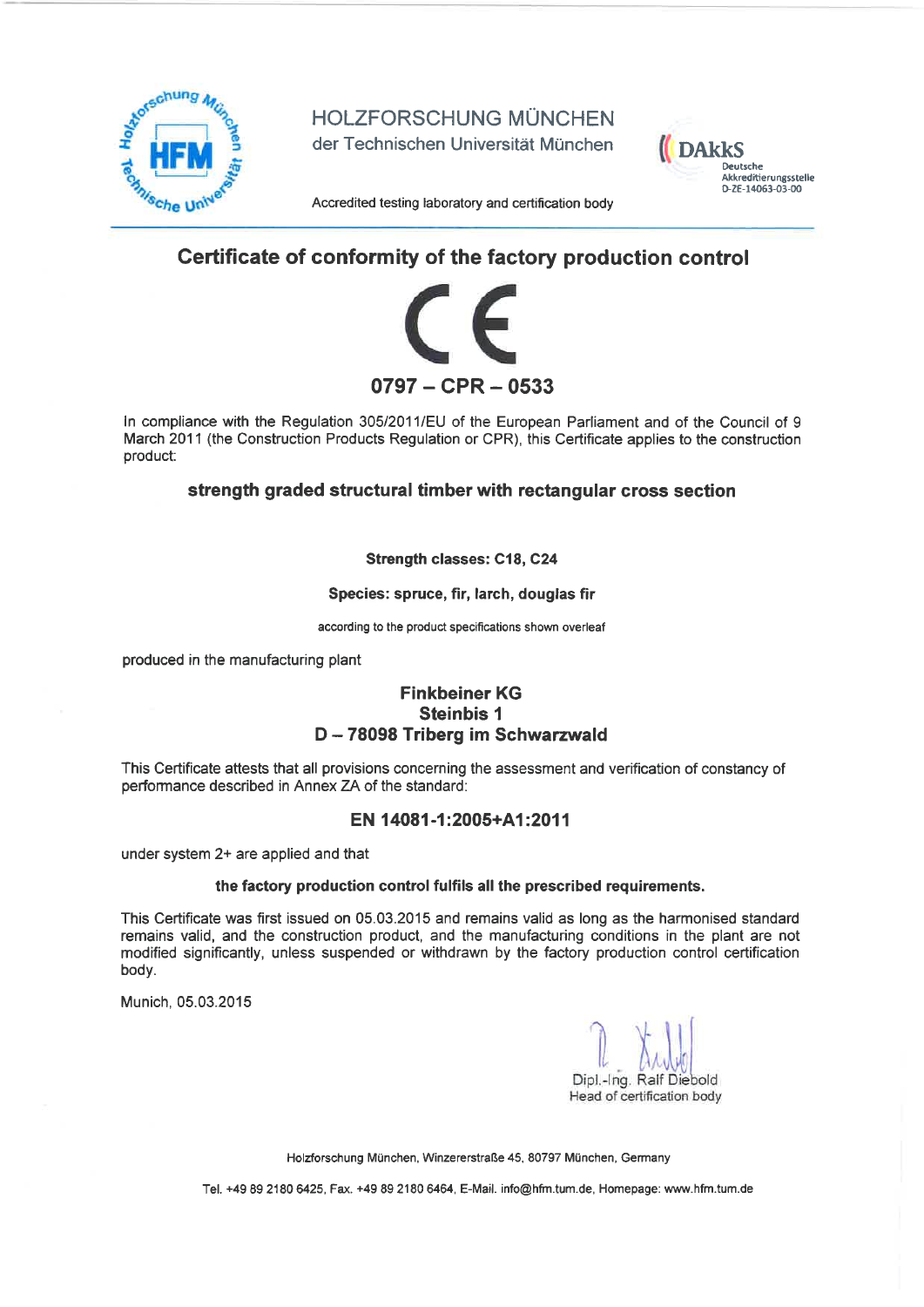

HOLZFORSCHUNG MUNCHEN

der Technischen Universität München



Accredited testing laboratory and certification body

# Certificate of conformity of the factory production control



ln compliance with the Regulation 30512011/EU of the European Parliament and of the Council of 9 March 2011 (the Construction Products Regulation or CPR), this Certificate applies to the construction product:

## strength graded structural timber with rectangular cross section

### Strength classes: C18, C24

### Species: spruce, fir, larch, douglas fir

according to the product specifications shown overleaf

produced in the manufacturing plant

# Finkbeiner KG Steinbis <sup>1</sup> D-78098 Triberg im Schwarzwald

This Certificate attests that all provisions concerning the assessment and verification of constancy of performance described in Annex ZA of the standard:

## EN 14081-1:2005+A1:2011

under system 2+ are applied and that

### the factory production control fulfils all the prescribed requirements.

This Certificate was first issued on 05.03.2015 and remains valid as long as the harmonised standard remains valid, and the construction product, and the manufacturing conditions in the plant are not modified significantly, unless suspended or withdrawn by the factory production control certification body.

Munich, 05.03.2015

Dipl.-Ing. Ralf Diebold Head of certification body

Holzforschung Múnchen, Winzererstraße 45, 80797 München, Germany

Tel. +49 89 2180 6425, Fax. +49 89 2180 6464, E-Mail. info@hfm.tum.de, Homepage: www.hfm.tum.de